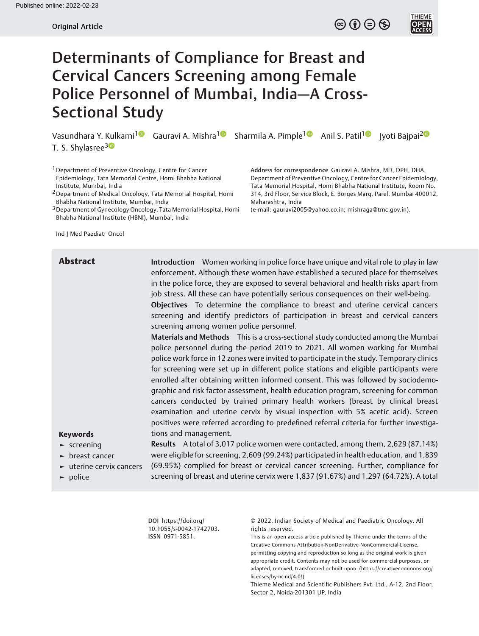# Determinants of Compliance for Breast and Cervical Cancers Screening among Female Police Personnel of Mumbai, India—A Cross-Sectional Study

Vasundhara Y. Kulkarni<sup>[1](https://orcid.org/0000-0002-0154-7302)</sup> Gauravi A. Mishra<sup>1</sup> Sharmila A. Pimple<sup>1</sup> Anil S. Patil<sup>1</sup> Jyoti Bajpai<sup>[2](https://orcid.org/0000-0001-7657-3460)</sup> T. S. Shylasree<sup>30</sup>

<sup>1</sup> Department of Preventive Oncology, Centre for Cancer Epidemiology, Tata Memorial Centre, Homi Bhabha National Institute, Mumbai, India

2Department of Medical Oncology, Tata Memorial Hospital, Homi Bhabha National Institute, Mumbai, India

<sup>3</sup> Department of Gynecology Oncology, Tata Memorial Hospital, Homi Bhabha National Institute (HBNI), Mumbai, India

Ind J Med Paediatr Oncol

Address for correspondence Gauravi A. Mishra, MD, DPH, DHA, Department of Preventive Oncology, Centre for Cancer Epidemiology, Tata Memorial Hospital, Homi Bhabha National Institute, Room No. 314, 3rd Floor, Service Block, E. Borges Marg, Parel, Mumbai 400012, Maharashtra, India

 $\circledcirc$  (i)  $\ominus$   $\circledcirc$ 

**THIEME** 

(e-mail: [gauravi2005@yahoo.co.in](mailto:gauravi2005@yahoo.co.in); [mishraga@tmc.gov.in](mailto:mishraga@tmc.gov.in)).

**Abstract** Introduction Women working in police force have unique and vital role to play in law enforcement. Although these women have established a secured place for themselves in the police force, they are exposed to several behavioral and health risks apart from job stress. All these can have potentially serious consequences on their well-being.

> Objectives To determine the compliance to breast and uterine cervical cancers screening and identify predictors of participation in breast and cervical cancers screening among women police personnel.

> Materials and Methods This is a cross-sectional study conducted among the Mumbai police personnel during the period 2019 to 2021. All women working for Mumbai police work force in 12 zones were invited to participate in the study. Temporary clinics for screening were set up in different police stations and eligible participants were enrolled after obtaining written informed consent. This was followed by sociodemographic and risk factor assessment, health education program, screening for common cancers conducted by trained primary health workers (breast by clinical breast examination and uterine cervix by visual inspection with 5% acetic acid). Screen positives were referred according to predefined referral criteria for further investigations and management.

# Keywords

- ► screening
- ► breast cancer
- ► uterine cervix cancers
- ► police

Results A total of 3,017 police women were contacted, among them, 2,629 (87.14%) were eligible for screening, 2,609 (99.24%) participated in health education, and 1,839 (69.95%) complied for breast or cervical cancer screening. Further, compliance for screening of breast and uterine cervix were 1,837 (91.67%) and 1,297 (64.72%). A total

DOI [https://doi.org/](https://doi.org/10.1055/s-0042-1742703) [10.1055/s-0042-1742703](https://doi.org/10.1055/s-0042-1742703). ISSN 0971-5851.

© 2022. Indian Society of Medical and Paediatric Oncology. All rights reserved.

This is an open access article published by Thieme under the terms of the Creative Commons Attribution-NonDerivative-NonCommercial-License, permitting copying and reproduction so long as the original work is given appropriate credit. Contents may not be used for commercial purposes, or adapted, remixed, transformed or built upon. (https://creativecommons.org/ licenses/by-nc-nd/4.0/)

Thieme Medical and Scientific Publishers Pvt. Ltd., A-12, 2nd Floor, Sector 2, Noida-201301 UP, India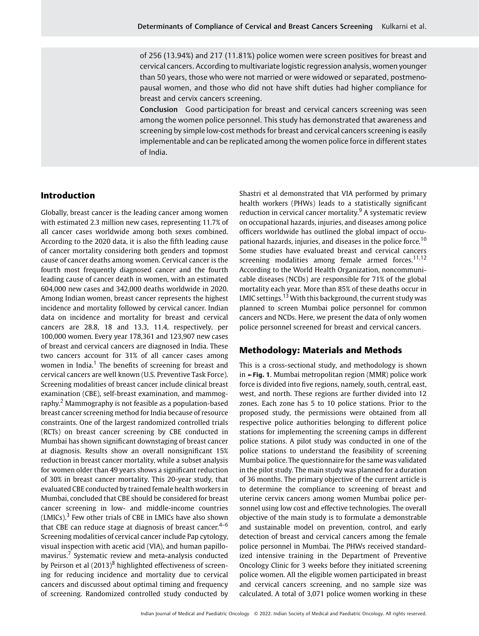of 256 (13.94%) and 217 (11.81%) police women were screen positives for breast and cervical cancers. According to multivariate logistic regression analysis, women younger than 50 years, those who were not married or were widowed or separated, postmenopausal women, and those who did not have shift duties had higher compliance for breast and cervix cancers screening.

Conclusion Good participation for breast and cervical cancers screening was seen among the women police personnel. This study has demonstrated that awareness and screening by simple low-cost methods for breast and cervical cancers screening is easily implementable and can be replicated among the women police force in different states of India.

# Introduction

Globally, breast cancer is the leading cancer among women with estimated 2.3 million new cases, representing 11.7% of all cancer cases worldwide among both sexes combined. According to the 2020 data, it is also the fifth leading cause of cancer mortality considering both genders and topmost cause of cancer deaths among women. Cervical cancer is the fourth most frequently diagnosed cancer and the fourth leading cause of cancer death in women, with an estimated 604,000 new cases and 342,000 deaths worldwide in 2020. Among Indian women, breast cancer represents the highest incidence and mortality followed by cervical cancer. Indian data on incidence and mortality for breast and cervical cancers are 28.8, 18 and 13.3, 11.4, respectively, per 100,000 women. Every year 178,361 and 123,907 new cases of breast and cervical cancers are diagnosed in India. These two cancers account for 31% of all cancer cases among women in India.<sup>1</sup> The benefits of screening for breast and cervical cancers are well known (U.S. Preventive Task Force). Screening modalities of breast cancer include clinical breast examination (CBE), self-breast examination, and mammography.<sup>2</sup> Mammography is not feasible as a population-based breast cancer screening method for India because of resource constraints. One of the largest randomized controlled trials (RCTs) on breast cancer screening by CBE conducted in Mumbai has shown significant downstaging of breast cancer at diagnosis. Results show an overall nonsignificant 15% reduction in breast cancer mortality, while a subset analysis for women older than 49 years shows a significant reduction of 30% in breast cancer mortality. This 20-year study, that evaluated CBE conducted by trained female health workers in Mumbai, concluded that CBE should be considered for breast cancer screening in low- and middle-income countries  $(LMICs)$ .<sup>3</sup> Few other trials of CBE in LMICs have also shown that CBE can reduce stage at diagnosis of breast cancer. $4-6$ Screening modalities of cervical cancer include Pap cytology, visual inspection with acetic acid (VIA), and human papillomavirus.<sup>7</sup> Systematic review and meta-analysis conducted by Peirson et al  $(2013)^8$  highlighted effectiveness of screening for reducing incidence and mortality due to cervical cancers and discussed about optimal timing and frequency of screening. Randomized controlled study conducted by

Shastri et al demonstrated that VIA performed by primary health workers (PHWs) leads to a statistically significant reduction in cervical cancer mortality.<sup>9</sup> A systematic review on occupational hazards, injuries, and diseases among police officers worldwide has outlined the global impact of occupational hazards, injuries, and diseases in the police force.<sup>10</sup> Some studies have evaluated breast and cervical cancers screening modalities among female armed forces.<sup>11,12</sup> According to the World Health Organization, noncommunicable diseases (NCDs) are responsible for 71% of the global mortality each year. More than 85% of these deaths occur in LMIC settings.<sup>13</sup> With this background, the current study was planned to screen Mumbai police personnel for common cancers and NCDs. Here, we present the data of only women police personnel screened for breast and cervical cancers.

# Methodology: Materials and Methods

This is a cross-sectional study, and methodology is shown in ►Fig. 1. Mumbai metropolitan region (MMR) police work force is divided into five regions, namely, south, central, east, west, and north. These regions are further divided into 12 zones. Each zone has 5 to 10 police stations. Prior to the proposed study, the permissions were obtained from all respective police authorities belonging to different police stations for implementing the screening camps in different police stations. A pilot study was conducted in one of the police stations to understand the feasibility of screening Mumbai police. The questionnaire for the same was validated in the pilot study. The main study was planned for a duration of 36 months. The primary objective of the current article is to determine the compliance to screening of breast and uterine cervix cancers among women Mumbai police personnel using low cost and effective technologies. The overall objective of the main study is to formulate a demonstrable and sustainable model on prevention, control, and early detection of breast and cervical cancers among the female police personnel in Mumbai. The PHWs received standardized intensive training in the Department of Preventive Oncology Clinic for 3 weeks before they initiated screening police women. All the eligible women participated in breast and cervical cancers screening, and no sample size was calculated. A total of 3,071 police women working in these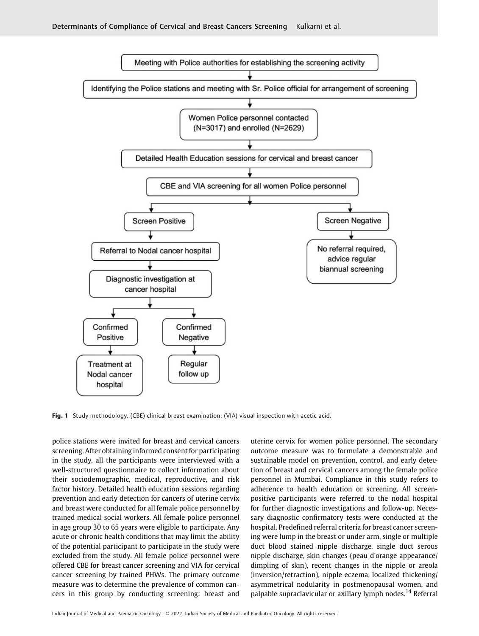

Fig. 1 Study methodology. (CBE) clinical breast examination; (VIA) visual inspection with acetic acid.

police stations were invited for breast and cervical cancers screening. After obtaining informed consent for participating in the study, all the participants were interviewed with a well-structured questionnaire to collect information about their sociodemographic, medical, reproductive, and risk factor history. Detailed health education sessions regarding prevention and early detection for cancers of uterine cervix and breast were conducted for all female police personnel by trained medical social workers. All female police personnel in age group 30 to 65 years were eligible to participate. Any acute or chronic health conditions that may limit the ability of the potential participant to participate in the study were excluded from the study. All female police personnel were offered CBE for breast cancer screening and VIA for cervical cancer screening by trained PHWs. The primary outcome measure was to determine the prevalence of common cancers in this group by conducting screening: breast and uterine cervix for women police personnel. The secondary outcome measure was to formulate a demonstrable and sustainable model on prevention, control, and early detection of breast and cervical cancers among the female police personnel in Mumbai. Compliance in this study refers to adherence to health education or screening. All screenpositive participants were referred to the nodal hospital for further diagnostic investigations and follow-up. Necessary diagnostic confirmatory tests were conducted at the hospital. Predefined referral criteria for breast cancer screening were lump in the breast or under arm, single or multiple duct blood stained nipple discharge, single duct serous nipple discharge, skin changes (peau d'orange appearance/ dimpling of skin), recent changes in the nipple or areola (inversion/retraction), nipple eczema, localized thickening/ asymmetrical nodularity in postmenopausal women, and palpable supraclavicular or axillary lymph nodes.<sup>14</sup> Referral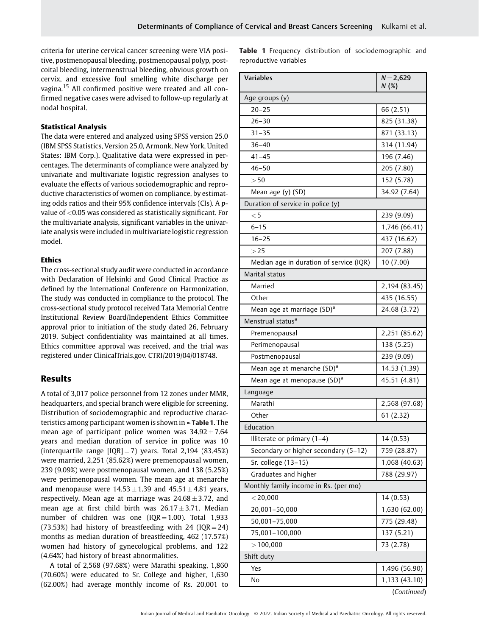criteria for uterine cervical cancer screening were VIA positive, postmenopausal bleeding, postmenopausal polyp, postcoital bleeding, intermenstrual bleeding, obvious growth on cervix, and excessive foul smelling white discharge per vagina.<sup>15</sup> All confirmed positive were treated and all confirmed negative cases were advised to follow-up regularly at nodal hospital.

### Statistical Analysis

The data were entered and analyzed using SPSS version 25.0 (IBM SPSS Statistics, Version 25.0, Armonk, New York, United States: IBM Corp.). Qualitative data were expressed in percentages. The determinants of compliance were analyzed by univariate and multivariate logistic regression analyses to evaluate the effects of various sociodemographic and reproductive characteristics of women on compliance, by estimating odds ratios and their 95% confidence intervals (CIs). A pvalue of <0.05 was considered as statistically significant. For the multivariate analysis, significant variables in the univariate analysis were included in multivariate logistic regression model.

## Ethics

The cross-sectional study audit were conducted in accordance with Declaration of Helsinki and Good Clinical Practice as defined by the International Conference on Harmonization. The study was conducted in compliance to the protocol. The cross-sectional study protocol received Tata Memorial Centre Institutional Review Board/Independent Ethics Committee approval prior to initiation of the study dated 26, February 2019. Subject confidentiality was maintained at all times. Ethics committee approval was received, and the trial was registered under ClinicalTrials.gov. CTRI/2019/04/018748.

# Results

A total of 3,017 police personnel from 12 zones under MMR, headquarters, and special branch were eligible for screening. Distribution of sociodemographic and reproductive characteristics among participant women is shown in ►Table 1. The mean age of participant police women was  $34.92 \pm 7.64$ years and median duration of service in police was 10 (interquartile range  $[IQR] = 7$ ) years. Total 2,194 (83.45%) were married, 2,251 (85.62%) were premenopausal women, 239 (9.09%) were postmenopausal women, and 138 (5.25%) were perimenopausal women. The mean age at menarche and menopause were  $14.53 \pm 1.39$  and  $45.51 \pm 4.81$  years, respectively. Mean age at marriage was  $24.68 \pm 3.72$ , and mean age at first child birth was  $26.17 \pm 3.71$ . Median number of children was one  $(IOR = 1.00)$ . Total 1,933 (73.53%) had history of breastfeeding with 24 ( $IOR = 24$ ) months as median duration of breastfeeding, 462 (17.57%) women had history of gynecological problems, and 122 (4.64%) had history of breast abnormalities.

A total of 2,568 (97.68%) were Marathi speaking, 1,860 (70.60%) were educated to Sr. College and higher, 1,630 (62.00%) had average monthly income of Rs. 20,001 to Table 1 Frequency distribution of sociodemographic and reproductive variables

| <b>Variables</b>                        | $N = 2,629$<br>N(%) |  |  |
|-----------------------------------------|---------------------|--|--|
| Age groups (y)                          |                     |  |  |
| $20 - 25$                               | 66 (2.51)           |  |  |
| $26 - 30$                               | 825 (31.38)         |  |  |
| $31 - 35$                               | 871 (33.13)         |  |  |
| $36 - 40$                               | 314 (11.94)         |  |  |
| $41 - 45$                               | 196 (7.46)          |  |  |
| $46 - 50$                               | 205 (7.80)          |  |  |
| > 50                                    | 152 (5.78)          |  |  |
| Mean age (y) (SD)                       | 34.92 (7.64)        |  |  |
| Duration of service in police (y)       |                     |  |  |
| $<$ 5                                   | 239 (9.09)          |  |  |
| $6 - 15$                                | 1,746 (66.41)       |  |  |
| $16 - 25$                               | 437 (16.62)         |  |  |
| >25                                     | 207 (7.88)          |  |  |
| Median age in duration of service (IQR) | 10 (7.00)           |  |  |
| Marital status                          |                     |  |  |
| Married                                 | 2,194 (83.45)       |  |  |
| Other                                   | 435 (16.55)         |  |  |
| Mean age at marriage (SD) <sup>a</sup>  | 24.68 (3.72)        |  |  |
| Menstrual status <sup>a</sup>           |                     |  |  |
| Premenopausal                           | 2,251 (85.62)       |  |  |
| Perimenopausal                          | 138 (5.25)          |  |  |
| Postmenopausal                          | 239 (9.09)          |  |  |
| Mean age at menarche (SD) <sup>a</sup>  | 14.53 (1.39)        |  |  |
| Mean age at menopause (SD) <sup>a</sup> | 45.51 (4.81)        |  |  |
| Language                                |                     |  |  |
| Marathi                                 | 2,568 (97.68)       |  |  |
| Other                                   | 61(2.32)            |  |  |
| Education                               |                     |  |  |
| Illiterate or primary (1-4)             | 14 (0.53)           |  |  |
| Secondary or higher secondary (5-12)    | 759 (28.87)         |  |  |
| Sr. college (13-15)                     | 1,068 (40.63)       |  |  |
| Graduates and higher                    | 788 (29.97)         |  |  |
| Monthly family income in Rs. (per mo)   |                     |  |  |
| $<$ 20,000                              | 14 (0.53)           |  |  |
| 20,001-50,000                           | 1,630 (62.00)       |  |  |
| 50,001-75,000                           | 775 (29.48)         |  |  |
| 75,001-100,000                          | 137 (5.21)          |  |  |
| >100,000                                | 73 (2.78)           |  |  |
| Shift duty                              |                     |  |  |
| Yes                                     | 1,496 (56.90)       |  |  |
| No                                      | 1,133 (43.10)       |  |  |

(Continued)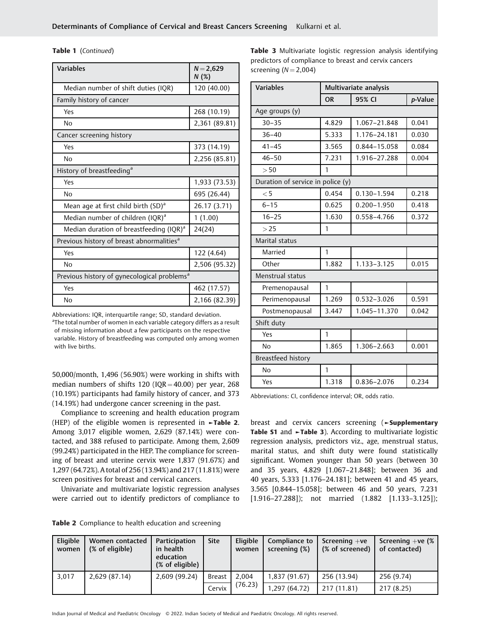| <b>Variables</b>                                        | $N = 2,629$<br>N(%) |  |  |  |
|---------------------------------------------------------|---------------------|--|--|--|
| Median number of shift duties (IQR)                     | 120 (40.00)         |  |  |  |
| Family history of cancer                                |                     |  |  |  |
| Yes                                                     | 268 (10.19)         |  |  |  |
| No                                                      | 2,361 (89.81)       |  |  |  |
| Cancer screening history                                |                     |  |  |  |
| Yes                                                     | 373 (14.19)         |  |  |  |
| No                                                      | 2,256 (85.81)       |  |  |  |
| History of breastfeeding <sup>a</sup>                   |                     |  |  |  |
| Yes                                                     | 1,933 (73.53)       |  |  |  |
| Nο                                                      | 695 (26.44)         |  |  |  |
| Mean age at first child birth (SD) <sup>a</sup>         | 26.17 (3.71)        |  |  |  |
| Median number of children (IQR) <sup>a</sup>            | 1(1.00)             |  |  |  |
| Median duration of breastfeeding (IQR) <sup>a</sup>     | 24(24)              |  |  |  |
| Previous history of breast abnormalities <sup>a</sup>   |                     |  |  |  |
| Yes                                                     | 122 (4.64)          |  |  |  |
| Nο                                                      | 2,506 (95.32)       |  |  |  |
| Previous history of gynecological problems <sup>a</sup> |                     |  |  |  |
| Yes                                                     | 462 (17.57)         |  |  |  |
| No                                                      | 2,166 (82.39)       |  |  |  |

Abbreviations: IQR, interquartile range; SD, standard deviation. <sup>a</sup>The total number of women in each variable category differs as a result of missing information about a few participants on the respective variable. History of breastfeeding was computed only among women with live births.

50,000/month, 1,496 (56.90%) were working in shifts with median numbers of shifts 120 ( $IQR = 40.00$ ) per year, 268 (10.19%) participants had family history of cancer, and 373 (14.19%) had undergone cancer screening in the past.

Compliance to screening and health education program (HEP) of the eligible women is represented in  $\blacktriangleright$ Table 2. Among 3,017 eligible women, 2,629 (87.14%) were contacted, and 388 refused to participate. Among them, 2,609 (99.24%) participated in the HEP. The compliance for screening of breast and uterine cervix were 1,837 (91.67%) and 1,297 (64.72%). A total of 256 (13.94%) and 217 (11.81%) were screen positives for breast and cervical cancers.

Univariate and multivariate logistic regression analyses were carried out to identify predictors of compliance to

Table 3 Multivariate logistic regression analysis identifying predictors of compliance to breast and cervix cancers screening  $(N = 2,004)$ 

| <b>Variables</b>                  | Multivariate analysis |                 |         |  |
|-----------------------------------|-----------------------|-----------------|---------|--|
|                                   | 95% CI<br><b>OR</b>   |                 | p-Value |  |
| Age groups (y)                    |                       |                 |         |  |
| $30 - 35$                         | 4.829                 | 1.067-21.848    | 0.041   |  |
| $36 - 40$                         | 5.333                 | 1.176-24.181    | 0.030   |  |
| $41 - 45$                         | 3.565                 | 0.844-15.058    | 0.084   |  |
| $46 - 50$                         | 7.231                 | 1.916-27.288    | 0.004   |  |
| > 50                              | 1                     |                 |         |  |
| Duration of service in police (y) |                       |                 |         |  |
| < 5                               | 0.454                 | $0.130 - 1.594$ | 0.218   |  |
| $6 - 15$                          | 0.625                 | $0.200 - 1.950$ | 0.418   |  |
| $16 - 25$                         | 1.630                 | 0.558-4.766     | 0.372   |  |
| >25                               | 1                     |                 |         |  |
| Marital status                    |                       |                 |         |  |
| Married                           | 1                     |                 |         |  |
| Other                             | 1.882                 | 1.133-3.125     | 0.015   |  |
| Menstrual status                  |                       |                 |         |  |
| Premenopausal                     | 1                     |                 |         |  |
| Perimenopausal                    | 1.269                 | $0.532 - 3.026$ | 0.591   |  |
| Postmenopausal                    | 3.447                 | 1.045-11.370    | 0.042   |  |
| Shift duty                        |                       |                 |         |  |
| Yes                               | 1                     |                 |         |  |
| No                                | 1.865                 | 1.306-2.663     | 0.001   |  |
| Breastfeed history                |                       |                 |         |  |
| N <sub>o</sub>                    | 1                     |                 |         |  |
| Yes                               | 1.318                 | 0.836-2.076     | 0.234   |  |

Abbreviations: CI, confidence interval; OR, odds ratio.

breast and cervix cancers screening (►Supplementary Table S1 and ►Table 3). According to multivariate logistic regression analysis, predictors viz., age, menstrual status, marital status, and shift duty were found statistically significant. Women younger than 50 years (between 30 and 35 years, 4.829 [1.067–21.848]; between 36 and 40 years, 5.333 [1.176–24.181]; between 41 and 45 years, 3.565 [0.844–15.058]; between 46 and 50 years, 7.231 [1.916–27.288]); not married (1.882 [1.133–3.125]);

| Table 2 Compliance to health education and screening |  |  |
|------------------------------------------------------|--|--|
|                                                      |  |  |

| Eligible<br>women | Women contacted<br>(% of eligible) | Participation<br>in health<br>education<br>(% of eligible) | <b>Site</b>   | Eligible<br>women | Compliance to<br>screening (%) | Screening $+ve$<br>(% of screened) | Screening $+ve$ (%)<br>of contacted) |
|-------------------|------------------------------------|------------------------------------------------------------|---------------|-------------------|--------------------------------|------------------------------------|--------------------------------------|
| 3.017             | 2,629 (87.14)                      | 2,609 (99.24)                                              | <b>Breast</b> | 2,004             | 1,837 (91.67)                  | 256 (13.94)                        | 256 (9.74)                           |
|                   |                                    |                                                            | Cervix        | (76.23)           | 1,297 (64.72)                  | 217 (11.81)                        | 217 (8.25)                           |

Indian Journal of Medical and Paediatric Oncology © 2022. Indian Society of Medical and Paediatric Oncology. All rights reserved.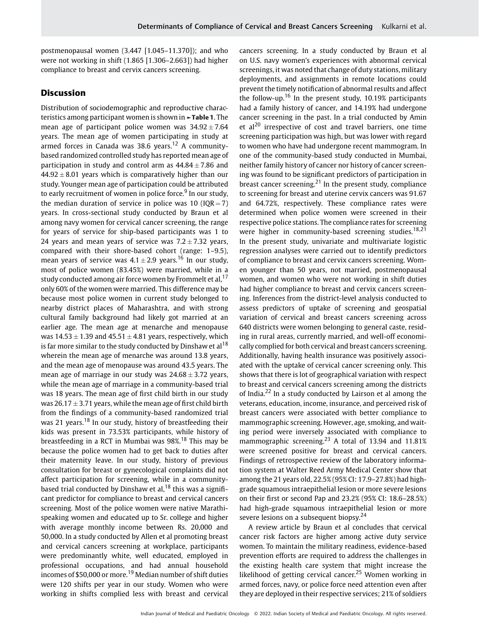postmenopausal women (3.447 [1.045–11.370]); and who were not working in shift (1.865 [1.306–2.663]) had higher compliance to breast and cervix cancers screening.

# **Discussion**

Distribution of sociodemographic and reproductive characteristics among participant women is shown in ►Table 1. The mean age of participant police women was  $34.92 \pm 7.64$ years. The mean age of women participating in study at armed forces in Canada was 38.6 years.<sup>12</sup> A communitybased randomized controlled study has reported mean age of participation in study and control arm as  $44.84 \pm 7.86$  and  $44.92 \pm 8.01$  years which is comparatively higher than our study. Younger mean age of participation could be attributed to early recruitment of women in police force. $9$  In our study, the median duration of service in police was 10 ( $IQR = 7$ ) years. In cross-sectional study conducted by Braun et al among navy women for cervical cancer screening, the range for years of service for ship-based participants was 1 to 24 years and mean years of service was  $7.2 \pm 7.32$  years, compared with their shore-based cohort (range: 1–9.5), mean years of service was  $4.1 \pm 2.9$  years.<sup>16</sup> In our study, most of police women (83.45%) were married, while in a study conducted among air force women by Frommelt et al,<sup>17</sup> only 60% of the women were married. This difference may be because most police women in current study belonged to nearby district places of Maharashtra, and with strong cultural family background had likely got married at an earlier age. The mean age at menarche and menopause was  $14.53 \pm 1.39$  and  $45.51 \pm 4.81$  years, respectively, which is far more similar to the study conducted by Dinshaw et al<sup>18</sup> wherein the mean age of menarche was around 13.8 years, and the mean age of menopause was around 43.5 years. The mean age of marriage in our study was  $24.68 \pm 3.72$  years, while the mean age of marriage in a community-based trial was 18 years. The mean age of first child birth in our study was 26.17  $\pm$  3.71 years, while the mean age of first child birth from the findings of a community-based randomized trial was 21 years.<sup>18</sup> In our study, history of breastfeeding their kids was present in 73.53% participants, while history of breastfeeding in a RCT in Mumbai was 98%.<sup>18</sup> This may be because the police women had to get back to duties after their maternity leave. In our study, history of previous consultation for breast or gynecological complaints did not affect participation for screening, while in a communitybased trial conducted by Dinshaw et al,  $^{18}$  this was a significant predictor for compliance to breast and cervical cancers screening. Most of the police women were native Marathispeaking women and educated up to Sr. college and higher with average monthly income between Rs. 20,000 and 50,000. In a study conducted by Allen et al promoting breast and cervical cancers screening at workplace, participants were predominantly white, well educated, employed in professional occupations, and had annual household incomes of \$50,000 or more.<sup>19</sup> Median number of shift duties were 120 shifts per year in our study. Women who were working in shifts complied less with breast and cervical cancers screening. In a study conducted by Braun et al on U.S. navy women's experiences with abnormal cervical screenings, it was noted that change of duty stations, military deployments, and assignments in remote locations could prevent the timely notification of abnormal results and affect the follow-up.<sup>16</sup> In the present study, 10.19% participants had a family history of cancer, and 14.19% had undergone cancer screening in the past. In a trial conducted by Amin et  $al^{20}$  irrespective of cost and travel barriers, one time screening participation was high, but was lower with regard to women who have had undergone recent mammogram. In one of the community-based study conducted in Mumbai, neither family history of cancer nor history of cancer screening was found to be significant predictors of participation in breast cancer screening.<sup>21</sup> In the present study, compliance to screening for breast and uterine cervix cancers was 91.67 and 64.72%, respectively. These compliance rates were determined when police women were screened in their respective police stations. The compliance rates for screening were higher in community-based screening studies.<sup>18,21</sup> In the present study, univariate and multivariate logistic regression analyses were carried out to identify predictors of compliance to breast and cervix cancers screening. Women younger than 50 years, not married, postmenopausal women, and women who were not working in shift duties had higher compliance to breast and cervix cancers screening. Inferences from the district-level analysis conducted to assess predictors of uptake of screening and geospatial variation of cervical and breast cancers screening across 640 districts were women belonging to general caste, residing in rural areas, currently married, and well-off economically complied for both cervical and breast cancers screening. Additionally, having health insurance was positively associated with the uptake of cervical cancer screening only. This shows that there is lot of geographical variation with respect to breast and cervical cancers screening among the districts of India.<sup>22</sup> In a study conducted by Lairson et al among the veterans, education, income, insurance, and perceived risk of breast cancers were associated with better compliance to mammographic screening. However, age, smoking, and waiting period were inversely associated with compliance to mammographic screening.<sup>23</sup> A total of 13.94 and 11.81% were screened positive for breast and cervical cancers. Findings of retrospective review of the laboratory information system at Walter Reed Army Medical Center show that among the 21 years old, 22.5% (95% CI: 17.9–27.8%) had highgrade squamous intraepithelial lesion or more severe lesions on their first or second Pap and 23.2% (95% CI: 18.6–28.5%) had high-grade squamous intraepithelial lesion or more severe lesions on a subsequent biopsy.<sup>24</sup>

A review article by Braun et al concludes that cervical cancer risk factors are higher among active duty service women. To maintain the military readiness, evidence-based prevention efforts are required to address the challenges in the existing health care system that might increase the likelihood of getting cervical cancer.<sup>25</sup> Women working in armed forces, navy, or police force need attention even after they are deployed in their respective services; 21% of soldiers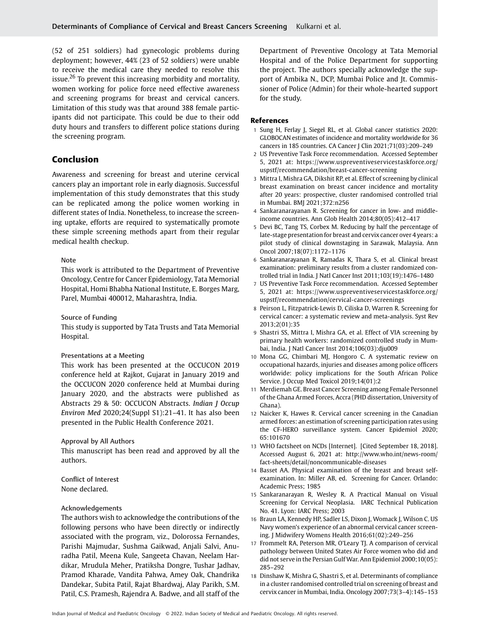(52 of 251 soldiers) had gynecologic problems during deployment; however, 44% (23 of 52 soldiers) were unable to receive the medical care they needed to resolve this issue.<sup>26</sup> To prevent this increasing morbidity and mortality, women working for police force need effective awareness and screening programs for breast and cervical cancers. Limitation of this study was that around 388 female participants did not participate. This could be due to their odd duty hours and transfers to different police stations during the screening program.

# Conclusion

Awareness and screening for breast and uterine cervical cancers play an important role in early diagnosis. Successful implementation of this study demonstrates that this study can be replicated among the police women working in different states of India. Nonetheless, to increase the screening uptake, efforts are required to systematically promote these simple screening methods apart from their regular medical health checkup.

#### Note

This work is attributed to the Department of Preventive Oncology, Centre for Cancer Epidemiology, Tata Memorial Hospital, Homi Bhabha National Institute, E. Borges Marg, Parel, Mumbai 400012, Maharashtra, India.

Source of Funding

This study is supported by Tata Trusts and Tata Memorial Hospital.

#### Presentations at a Meeting

This work has been presented at the OCCUCON 2019 conference held at Rajkot, Gujarat in January 2019 and the OCCUCON 2020 conference held at Mumbai during January 2020, and the abstracts were published as Abstracts 29 & 50: OCCUCON Abstracts. Indian J Occup Environ Med 2020;24(Suppl S1):21–41. It has also been presented in the Public Health Conference 2021.

### Approval by All Authors

This manuscript has been read and approved by all the authors.

Conflict of Interest None declared.

### Acknowledgements

The authors wish to acknowledge the contributions of the following persons who have been directly or indirectly associated with the program, viz., Dolorossa Fernandes, Parishi Majmudar, Sushma Gaikwad, Anjali Salvi, Anuradha Patil, Meena Kule, Sangeeta Chavan, Neelam Hardikar, Mrudula Meher, Pratiksha Dongre, Tushar Jadhav, Pramod Kharade, Vandita Pahwa, Amey Oak, Chandrika Dandekar, Subita Patil, Rajat Bhardwaj, Alay Parikh, S.M. Patil, C.S. Pramesh, Rajendra A. Badwe, and all staff of the

Department of Preventive Oncology at Tata Memorial Hospital and of the Police Department for supporting the project. The authors specially acknowledge the support of Ambika N., DCP, Mumbai Police and Jt. Commissioner of Police (Admin) for their whole-hearted support for the study.

### References

- 1 Sung H, Ferlay J, Siegel RL, et al. Global cancer statistics 2020: GLOBOCAN estimates of incidence and mortality worldwide for 36 cancers in 185 countries. CA Cancer J Clin 2021;71(03):209–249
- 2 US Preventive Task Force recommendation. Accessed September 5, 2021 at: [https://www.uspreventiveservicestaskforce.org/](https://www.uspreventiveservicestaskforce.org/uspstf/recommendation/breast-cancer-screening) [uspstf/recommendation/breast-cancer-screening](https://www.uspreventiveservicestaskforce.org/uspstf/recommendation/breast-cancer-screening)
- 3 Mittra I, Mishra GA, Dikshit RP, et al. Effect of screening by clinical breast examination on breast cancer incidence and mortality after 20 years: prospective, cluster randomised controlled trial in Mumbai. BMJ 2021;372:n256
- 4 Sankaranarayanan R. Screening for cancer in low- and middleincome countries. Ann Glob Health 2014;80(05):412–417
- 5 Devi BC, Tang TS, Corbex M. Reducing by half the percentage of late-stage presentation for breast and cervix cancer over 4 years: a pilot study of clinical downstaging in Sarawak, Malaysia. Ann Oncol 2007;18(07):1172–1176
- 6 Sankaranarayanan R, Ramadas K, Thara S, et al. Clinical breast examination: preliminary results from a cluster randomized controlled trial in India. J Natl Cancer Inst 2011;103(19):1476–1480
- 7 US Preventive Task Force recommendation. Accessed September 5, 2021 at: [https://www.uspreventiveservicestaskforce.org/](https://www.uspreventiveservicestaskforce.org/uspstf/recommendation/cervical-cancer-screenings) [uspstf/recommendation/cervical-cancer-screenings](https://www.uspreventiveservicestaskforce.org/uspstf/recommendation/cervical-cancer-screenings)
- 8 Peirson L, Fitzpatrick-Lewis D, Ciliska D, Warren R. Screening for cervical cancer: a systematic review and meta-analysis. Syst Rev 2013;2(01):35
- 9 Shastri SS, Mittra I, Mishra GA, et al. Effect of VIA screening by primary health workers: randomized controlled study in Mumbai, India. J Natl Cancer Inst 2014;106(03):dju009
- 10 Mona GG, Chimbari MJ, Hongoro C. A systematic review on occupational hazards, injuries and diseases among police officers worldwide: policy implications for the South African Police Service. J Occup Med Toxicol 2019;14(01):2
- 11 Merdiemah GE. Breast Cancer Screening among Female Personnel of the Ghana Armed Forces, Accra (PHD dissertation, University of Ghana).
- 12 Naicker K, Hawes R. Cervical cancer screening in the Canadian armed forces: an estimation of screening participation rates using the CF-HERO surveillance system. Cancer Epidemiol 2020; 65:101670
- 13 WHO factsheet on NCDs [Internet]. [Cited September 18, 2018]. Accessed August 6, 2021 at: [http://www.who.int/news-room/](http://www.who.int/news-room/fact-sheets/detail/noncommunicable-diseases) [fact-sheets/detail/noncommunicable-diseases](http://www.who.int/news-room/fact-sheets/detail/noncommunicable-diseases)
- 14 Basset AA. Physical examination of the breast and breast selfexamination. In: Miller AB, ed. Screening for Cancer. Orlando: Academic Press; 1985
- 15 Sankaranarayan R, Wesley R. A Practical Manual on Visual Screening for Cervical Neoplasia. IARC Technical Publication No. 41. Lyon: IARC Press; 2003
- 16 Braun LA, Kennedy HP, Sadler LS, Dixon J, Womack J, Wilson C. US Navy women's experience of an abnormal cervical cancer screening. J Midwifery Womens Health 2016;61(02):249–256
- 17 Frommelt RA, Peterson MR, O'Leary TJ. A comparison of cervical pathology between United States Air Force women who did and did not serve in the Persian Gulf War. Ann Epidemiol 2000;10(05): 285–292
- 18 Dinshaw K, Mishra G, Shastri S, et al. Determinants of compliance in a cluster randomised controlled trial on screening of breast and cervix cancer in Mumbai, India. Oncology 2007;73(3–4):145–153